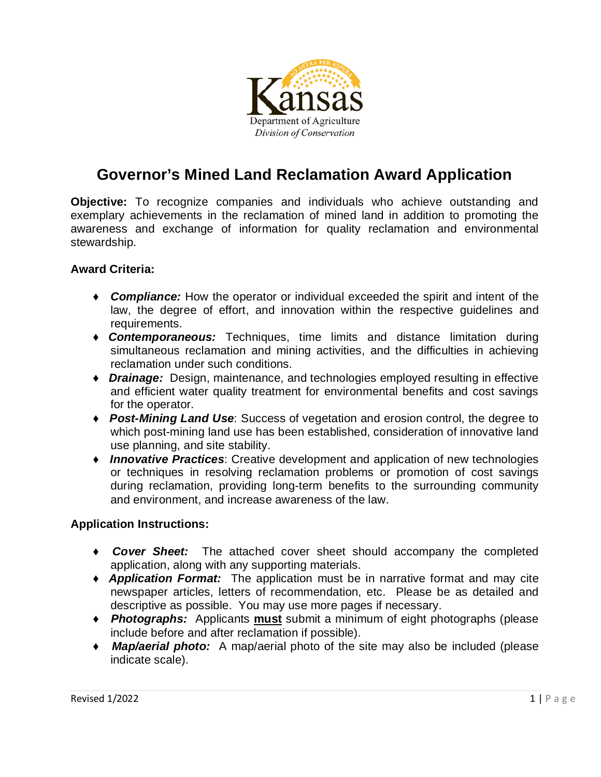

## **Governor's Mined Land Reclamation Award Application**

**Objective:** To recognize companies and individuals who achieve outstanding and exemplary achievements in the reclamation of mined land in addition to promoting the awareness and exchange of information for quality reclamation and environmental stewardship.

### **Award Criteria:**

- ♦ *Compliance:* How the operator or individual exceeded the spirit and intent of the law, the degree of effort, and innovation within the respective guidelines and requirements.
- ♦ *Contemporaneous:* Techniques, time limits and distance limitation during simultaneous reclamation and mining activities, and the difficulties in achieving reclamation under such conditions.
- ♦ *Drainage:* Design, maintenance, and technologies employed resulting in effective and efficient water quality treatment for environmental benefits and cost savings for the operator.
- ♦ *Post-Mining Land Use*: Success of vegetation and erosion control, the degree to which post-mining land use has been established, consideration of innovative land use planning, and site stability.
- ♦ *Innovative Practices*: Creative development and application of new technologies or techniques in resolving reclamation problems or promotion of cost savings during reclamation, providing long-term benefits to the surrounding community and environment, and increase awareness of the law.

#### **Application Instructions:**

- ♦ *Cover Sheet:* The attached cover sheet should accompany the completed application, along with any supporting materials.
- ♦ *Application Format:* The application must be in narrative format and may cite newspaper articles, letters of recommendation, etc. Please be as detailed and descriptive as possible. You may use more pages if necessary.
- ♦ *Photographs:* Applicants **must** submit a minimum of eight photographs (please include before and after reclamation if possible).
- ♦ *Map/aerial photo:* A map/aerial photo of the site may also be included (please indicate scale).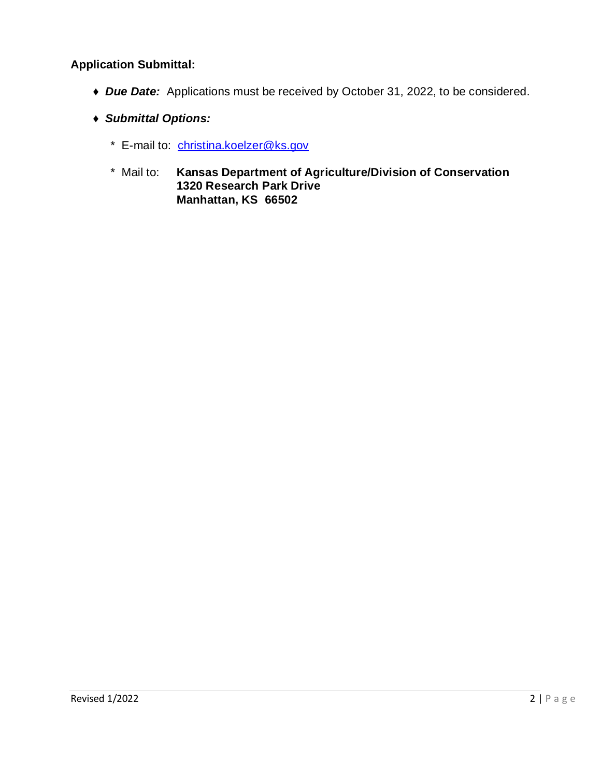### **Application Submittal:**

- ♦ *Due Date:* Applications must be received by October 31, 2022, to be considered.
- ♦ *Submittal Options:*
	- \* E-mail to: [christina.koelzer@ks.gov](mailto:christina.koelzer@ks.gov)
	- \* Mail to: **Kansas Department of Agriculture/Division of Conservation 1320 Research Park Drive Manhattan, KS 66502**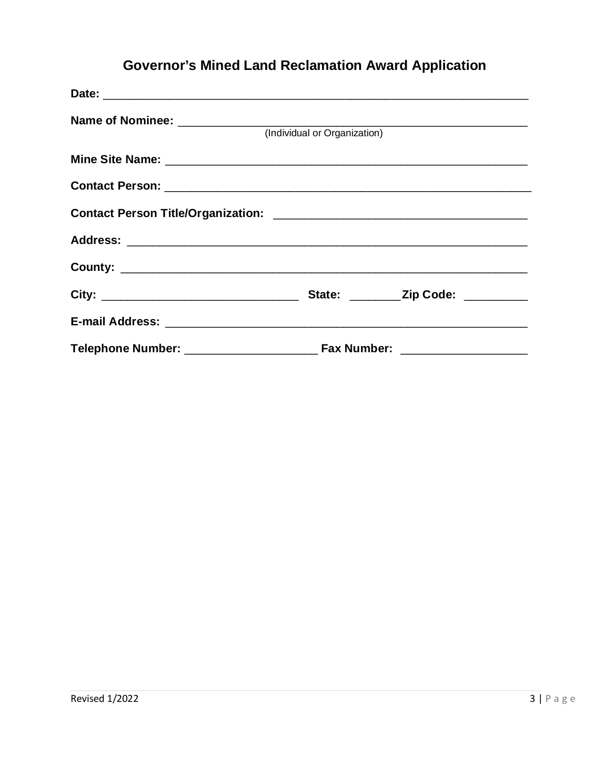# **Governor's Mined Land Reclamation Award Application**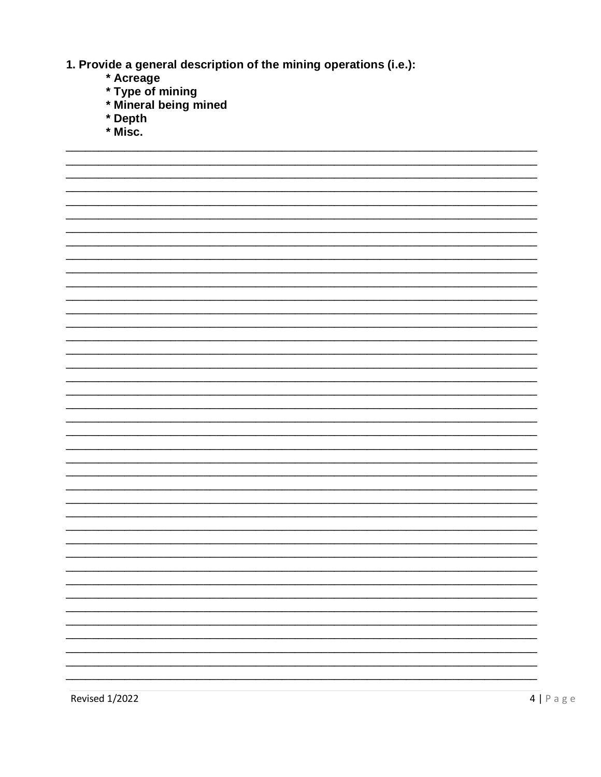1. Provide a general description of the mining operations (i.e.):

- \* Acreage
- 
- \* Type of mining<br>\* Mineral being mined
- \* Depth
- $*$  Misc.

|  |  |  | — |
|--|--|--|---|
|  |  |  | - |
|  |  |  |   |
|  |  |  |   |
|  |  |  |   |
|  |  |  |   |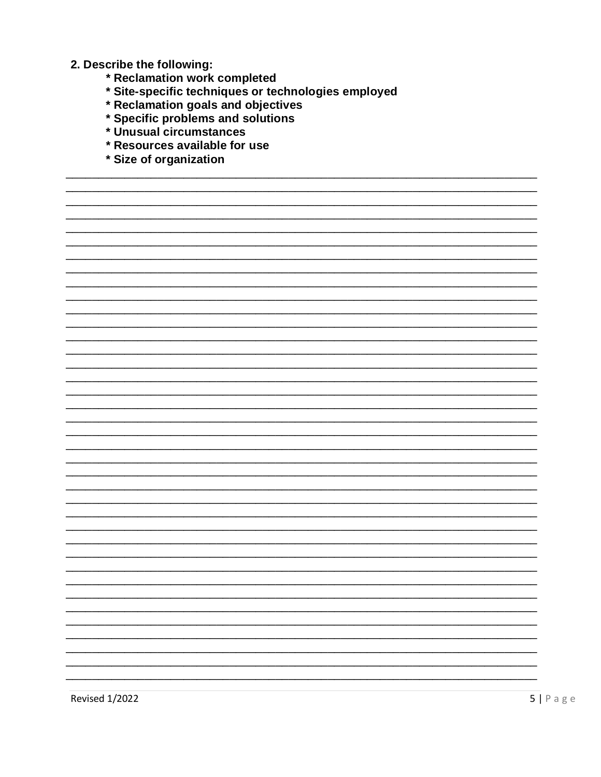- 2. Describe the following:
	- \* Reclamation work completed
	- \* Site-specific techniques or technologies employed
	- \* Reclamation goals and objectives
	- \* Specific problems and solutions
	- \* Unusual circumstances
	- \* Resources available for use
	- \* Size of organization

**Revised 1/2022**